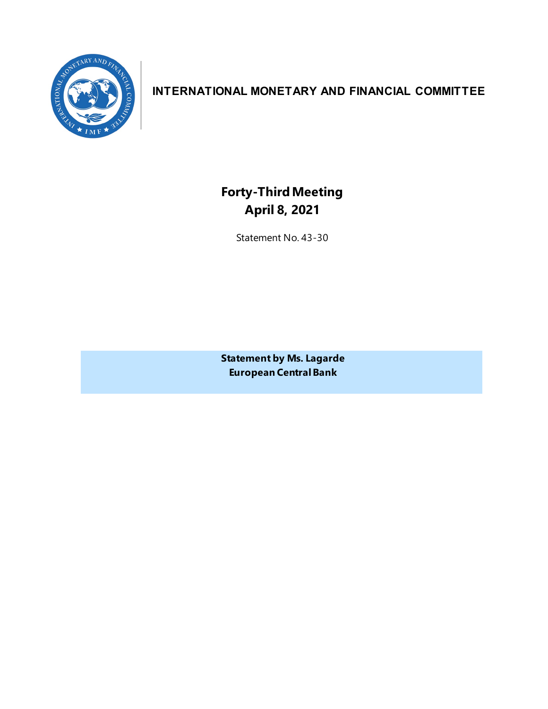

## **INTERNATIONAL MONETARY AND FINANCIAL COMMITTEE**

# **Forty-ThirdMeeting April 8, 2021**

Statement No. 43-30

**Statement by Ms. Lagarde European Central Bank**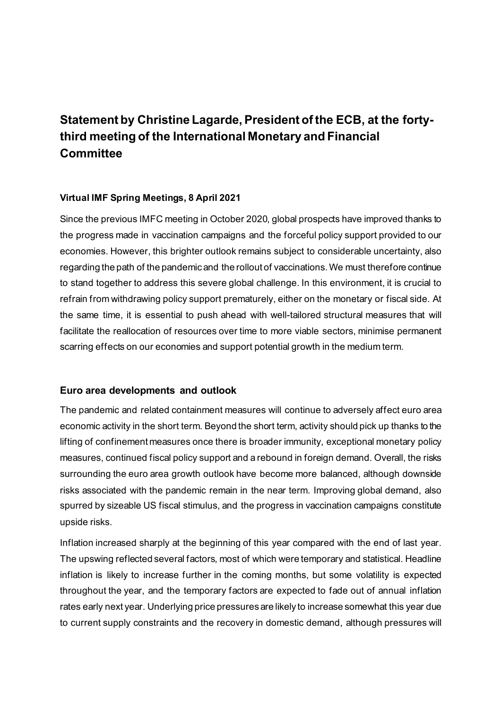# **Statement by Christine Lagarde, President of the ECB, at the fortythird meeting of the International Monetary and Financial Committee**

### **Virtual IMF Spring Meetings, 8 April 2021**

Since the previous IMFC meeting in October 2020, global prospects have improved thanks to the progress made in vaccination campaigns and the forceful policy support provided to our economies. However, this brighter outlook remains subject to considerable uncertainty, also regarding the path of the pandemic and the rollout of vaccinations. We must therefore continue to stand together to address this severe global challenge. In this environment, it is crucial to refrain from withdrawing policy support prematurely, either on the monetary or fiscal side. At the same time, it is essential to push ahead with well-tailored structural measures that will facilitate the reallocation of resources over time to more viable sectors, minimise permanent scarring effects on our economies and support potential growth in the medium term.

### **Euro area developments and outlook**

The pandemic and related containment measures will continue to adversely affect euro area economic activity in the short term. Beyond the short term, activity should pick up thanks to the lifting of confinement measures once there is broader immunity, exceptional monetary policy measures, continued fiscal policy support and a rebound in foreign demand. Overall, the risks surrounding the euro area growth outlook have become more balanced, although downside risks associated with the pandemic remain in the near term. Improving global demand, also spurred by sizeable US fiscal stimulus, and the progress in vaccination campaigns constitute upside risks.

Inflation increased sharply at the beginning of this year compared with the end of last year. The upswing reflected several factors, most of which were temporary and statistical. Headline inflation is likely to increase further in the coming months, but some volatility is expected throughout the year, and the temporary factors are expected to fade out of annual inflation rates early next year. Underlying price pressures are likely to increase somewhat this year due to current supply constraints and the recovery in domestic demand, although pressures will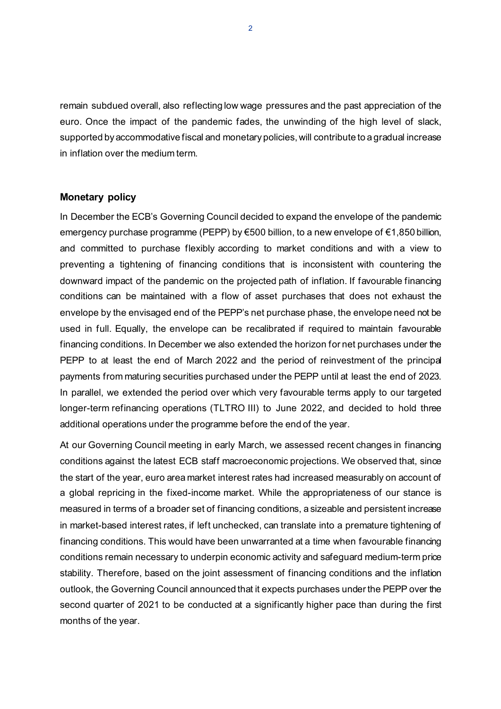remain subdued overall, also reflecting low wage pressures and the past appreciation of the euro. Once the impact of the pandemic fades, the unwinding of the high level of slack, supported by accommodative fiscal and monetary policies, will contribute to a gradual increase in inflation over the medium term.

#### **Monetary policy**

In December the ECB's Governing Council decided to expand the envelope of the pandemic emergency purchase programme (PEPP) by €500 billion, to a new envelope of €1,850 billion, and committed to purchase flexibly according to market conditions and with a view to preventing a tightening of financing conditions that is inconsistent with countering the downward impact of the pandemic on the projected path of inflation. If favourable financing conditions can be maintained with a flow of asset purchases that does not exhaust the envelope by the envisaged end of the PEPP's net purchase phase, the envelope need not be used in full. Equally, the envelope can be recalibrated if required to maintain favourable financing conditions. In December we also extended the horizon for net purchases under the PEPP to at least the end of March 2022 and the period of reinvestment of the principal payments from maturing securities purchased under the PEPP until at least the end of 2023. In parallel, we extended the period over which very favourable terms apply to our targeted longer-term refinancing operations (TLTRO III) to June 2022, and decided to hold three additional operations under the programme before the end of the year.

At our Governing Council meeting in early March, we assessed recent changes in financing conditions against the latest ECB staff macroeconomic projections. We observed that, since the start of the year, euro area market interest rates had increased measurably on account of a global repricing in the fixed-income market. While the appropriateness of our stance is measured in terms of a broader set of financing conditions, a sizeable and persistent increase in market-based interest rates, if left unchecked, can translate into a premature tightening of financing conditions. This would have been unwarranted at a time when favourable financing conditions remain necessary to underpin economic activity and safeguard medium-term price stability. Therefore, based on the joint assessment of financing conditions and the inflation outlook, the Governing Council announced that it expects purchases under the PEPP over the second quarter of 2021 to be conducted at a significantly higher pace than during the first months of the year.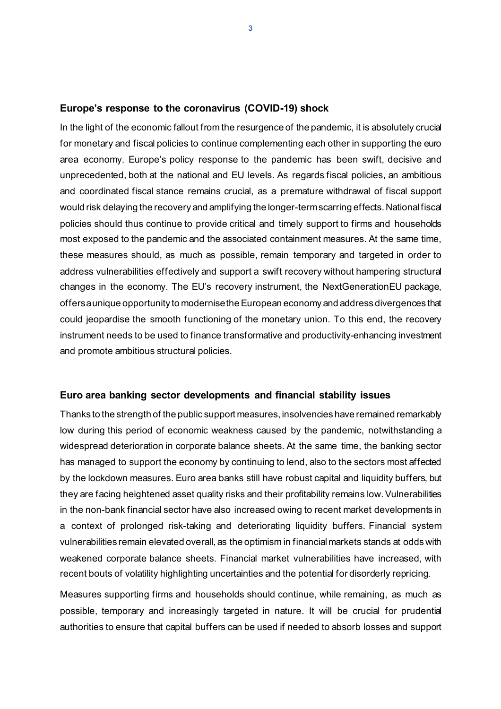#### **Europe's response to the coronavirus (COVID-19) shock**

In the light of the economic fallout from the resurgence of the pandemic, it is absolutely crucial for monetary and fiscal policies to continue complementing each other in supporting the euro area economy. Europe's policy response to the pandemic has been swift, decisive and unprecedented, both at the national and EU levels. As regards fiscal policies, an ambitious and coordinated fiscal stance remains crucial, as a premature withdrawal of fiscal support would risk delaying the recovery and amplifying the longer-term scarring effects. National fiscal policies should thus continue to provide critical and timely support to firms and households most exposed to the pandemic and the associated containment measures. At the same time, these measures should, as much as possible, remain temporary and targeted in order to address vulnerabilities effectively and support a swift recovery without hampering structural changes in the economy. The EU's recovery instrument, the NextGenerationEU package, offers a unique opportunity to modernise the European economy and address divergences that could jeopardise the smooth functioning of the monetary union. To this end, the recovery instrument needs to be used to finance transformative and productivity-enhancing investment and promote ambitious structural policies.

#### **Euro area banking sector developments and financial stability issues**

Thanks to the strength of the public support measures, insolvencies have remained remarkably low during this period of economic weakness caused by the pandemic, notwithstanding a widespread deterioration in corporate balance sheets. At the same time, the banking sector has managed to support the economy by continuing to lend, also to the sectors most affected by the lockdown measures. Euro area banks still have robust capital and liquidity buffers, but they are facing heightened asset quality risks and their profitability remains low.Vulnerabilities in the non-bank financial sector have also increased owing to recent market developments in a context of prolonged risk-taking and deteriorating liquidity buffers. Financial system vulnerabilities remain elevated overall, as the optimism in financial markets stands at odds with weakened corporate balance sheets. Financial market vulnerabilities have increased, with recent bouts of volatility highlighting uncertainties and the potential for disorderly repricing.

Measures supporting firms and households should continue, while remaining, as much as possible, temporary and increasingly targeted in nature. It will be crucial for prudential authorities to ensure that capital buffers can be used if needed to absorb losses and support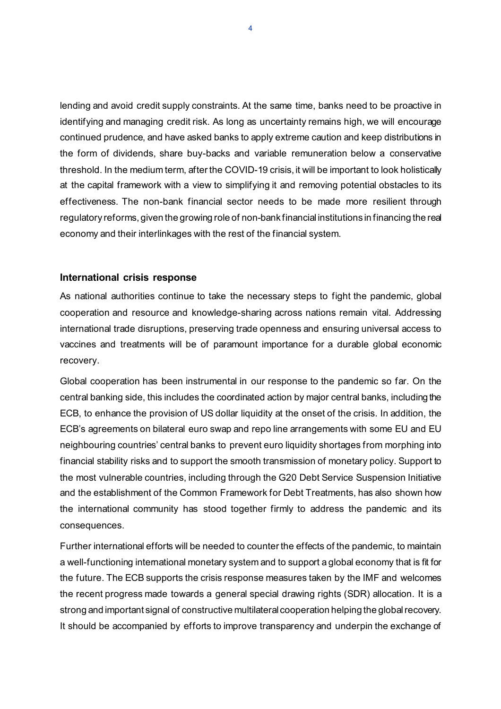lending and avoid credit supply constraints. At the same time, banks need to be proactive in identifying and managing credit risk. As long as uncertainty remains high, we will encourage continued prudence, and have asked banks to apply extreme caution and keep distributions in the form of dividends, share buy-backs and variable remuneration below a conservative threshold. In the medium term, after the COVID-19 crisis, it will be important to look holistically at the capital framework with a view to simplifying it and removing potential obstacles to its effectiveness. The non-bank financial sector needs to be made more resilient through regulatory reforms, given the growing role of non-bank financial institutions in financing the real economy and their interlinkages with the rest of the financial system.

#### **International crisis response**

As national authorities continue to take the necessary steps to fight the pandemic, global cooperation and resource and knowledge-sharing across nations remain vital. Addressing international trade disruptions, preserving trade openness and ensuring universal access to vaccines and treatments will be of paramount importance for a durable global economic recovery.

Global cooperation has been instrumental in our response to the pandemic so far. On the central banking side, this includes the coordinated action by major central banks, including the ECB, to enhance the provision of US dollar liquidity at the onset of the crisis. In addition, the ECB's agreements on bilateral euro swap and repo line arrangements with some EU and EU neighbouring countries' central banks to prevent euro liquidity shortages from morphing into financial stability risks and to support the smooth transmission of monetary policy. Support to the most vulnerable countries, including through the G20 Debt Service Suspension Initiative and the establishment of the Common Framework for Debt Treatments, has also shown how the international community has stood together firmly to address the pandemic and its consequences.

Further international efforts will be needed to counter the effects of the pandemic, to maintain a well-functioning international monetary system and to support a global economy that is fit for the future. The ECB supports the crisis response measures taken by the IMF and welcomes the recent progress made towards a general special drawing rights (SDR) allocation. It is a strong and important signal of constructive multilateral cooperation helping the global recovery. It should be accompanied by efforts to improve transparency and underpin the exchange of